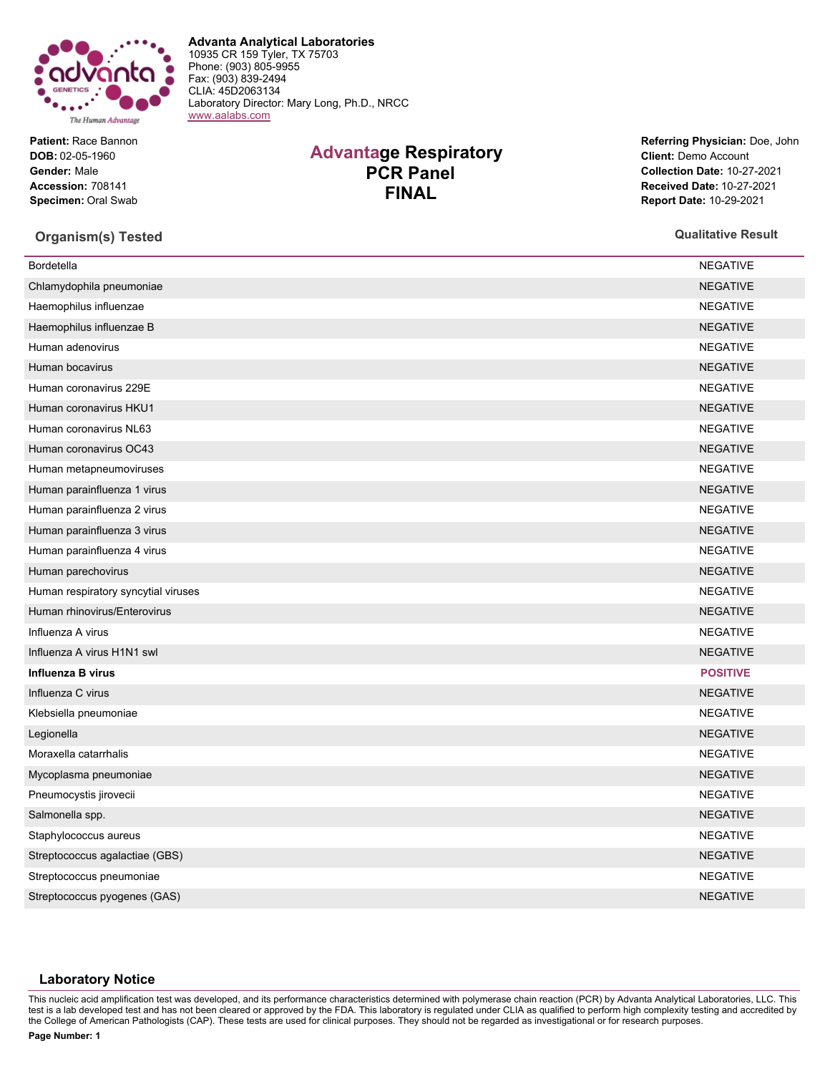

**Patient:** Race Bannon **DOB:** 02-05-1960 **Gender:** Male **Accession:** 708141 **Specimen:** Oral Swab

## **Advantage Respiratory PCR Panel FINAL**

**Advanta Analytical Laboratories** 10935 CR 159 Tyler, TX 75703 Phone: (903) 805-9955 Fax: (903) 839-2494 CLIA: 45D2063134

[www.aalabs.com](https://www.aalabs.com)

Laboratory Director: Mary Long, Ph.D., NRCC

**Referring Physician:** Doe, John **Client:** Demo Account **Collection Date:** 10-27-2021 **Received Date:** 10-27-2021 **Report Date:** 10-29-2021

## **Organism(s) Tested Qualitative Result**

| <b>Bordetella</b>                   | <b>NEGATIVE</b> |
|-------------------------------------|-----------------|
| Chlamydophila pneumoniae            | <b>NEGATIVE</b> |
| Haemophilus influenzae              | <b>NEGATIVE</b> |
| Haemophilus influenzae B            | <b>NEGATIVE</b> |
| Human adenovirus                    | <b>NEGATIVE</b> |
| Human bocavirus                     | <b>NEGATIVE</b> |
| Human coronavirus 229E              | <b>NEGATIVE</b> |
| Human coronavirus HKU1              | <b>NEGATIVE</b> |
| Human coronavirus NL63              | <b>NEGATIVE</b> |
| Human coronavirus OC43              | <b>NEGATIVE</b> |
| Human metapneumoviruses             | <b>NEGATIVE</b> |
| Human parainfluenza 1 virus         | <b>NEGATIVE</b> |
| Human parainfluenza 2 virus         | <b>NEGATIVE</b> |
| Human parainfluenza 3 virus         | <b>NEGATIVE</b> |
| Human parainfluenza 4 virus         | <b>NEGATIVE</b> |
| Human parechovirus                  | <b>NEGATIVE</b> |
| Human respiratory syncytial viruses | <b>NEGATIVE</b> |
| Human rhinovirus/Enterovirus        | <b>NEGATIVE</b> |
| Influenza A virus                   | <b>NEGATIVE</b> |
| Influenza A virus H1N1 swl          | <b>NEGATIVE</b> |
| Influenza B virus                   | <b>POSITIVE</b> |
| Influenza C virus                   | <b>NEGATIVE</b> |
| Klebsiella pneumoniae               | <b>NEGATIVE</b> |
| Legionella                          | <b>NEGATIVE</b> |
| Moraxella catarrhalis               | <b>NEGATIVE</b> |
| Mycoplasma pneumoniae               | <b>NEGATIVE</b> |
| Pneumocystis jirovecii              | <b>NEGATIVE</b> |
| Salmonella spp.                     | <b>NEGATIVE</b> |
| Staphylococcus aureus               | <b>NEGATIVE</b> |
| Streptococcus agalactiae (GBS)      | <b>NEGATIVE</b> |
| Streptococcus pneumoniae            | <b>NEGATIVE</b> |
| Streptococcus pyogenes (GAS)        | <b>NEGATIVE</b> |
|                                     |                 |

## **Laboratory Notice**

This nucleic acid amplification test was developed, and its performance characteristics determined with polymerase chain reaction (PCR) by Advanta Analytical Laboratories, LLC. This test is a lab developed test and has not been cleared or approved by the FDA. This laboratory is regulated under CLIA as qualified to perform high complexity testing and accredited by the College of American Pathologists (CAP). These tests are used for clinical purposes. They should not be regarded as investigational or for research purposes.